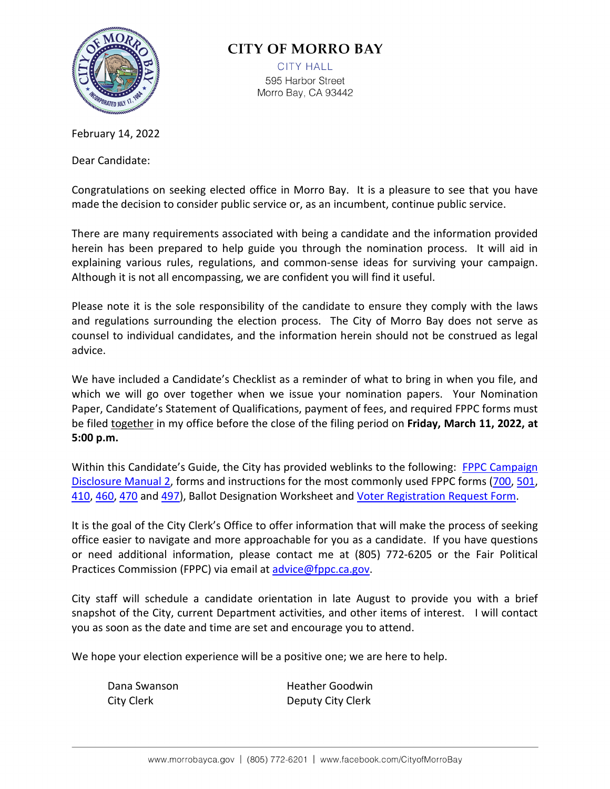

# **CITY OF MORRO BAY**

**CITY HALL** 595 Harbor Street Morro Bay, CA 93442

February 14, 2022

Dear Candidate:

Congratulations on seeking elected office in Morro Bay. It is a pleasure to see that you have made the decision to consider public service or, as an incumbent, continue public service.

There are many requirements associated with being a candidate and the information provided herein has been prepared to help guide you through the nomination process. It will aid in explaining various rules, regulations, and common-sense ideas for surviving your campaign. Although it is not all encompassing, we are confident you will find it useful.

Please note it is the sole responsibility of the candidate to ensure they comply with the laws and regulations surrounding the election process. The City of Morro Bay does not serve as counsel to individual candidates, and the information herein should not be construed as legal advice.

We have included a Candidate's Checklist as a reminder of what to bring in when you file, and which we will go over together when we issue your nomination papers. Your Nomination Paper, Candidate's Statement of Qualifications, payment of fees, and required FPPC forms must be filed together in my office before the close of the filing period on **Friday, March 11, 2022, at 5:00 p.m.** 

Within this Candidate's Guide, the City has provided weblinks to the following: [FPPC Campaign](https://www.fppc.ca.gov/content/dam/fppc/NS-Documents/TAD/Campaign%20Manuals/Manual_2/Final_Manual_2_Entire_Manual.pdf)  [Disclosure Manual 2,](https://www.fppc.ca.gov/content/dam/fppc/NS-Documents/TAD/Campaign%20Manuals/Manual_2/Final_Manual_2_Entire_Manual.pdf) forms and instructions for the most commonly used FPPC forms [\(700,](https://www.fppc.ca.gov/content/dam/fppc/NS-Documents/TAD/Form%20700/2021-22/Form_700_2021.pdf) [501,](https://www.fppc.ca.gov/content/dam/fppc/NS-Documents/TAD/Campaign%20Forms/501.pdf) [410,](https://www.fppc.ca.gov/content/dam/fppc/NS-Documents/TAD/Campaign%20Forms/410.pdf) [460,](https://www.fppc.ca.gov/content/dam/fppc/NS-Documents/TAD/Campaign%20Forms/460.pdf) [470](https://www.fppc.ca.gov/content/dam/fppc/NS-Documents/TAD/Campaign%20Forms/470.pdf) and [497\)](https://www.fppc.ca.gov/content/dam/fppc/NS-Documents/TAD/Campaign%20Forms/497.pdf), Ballot Designation Worksheet and [Voter Registration Request Form.](https://www.slocounty.ca.gov/Departments/Clerk-Recorder/Forms-Documents/Elections-and-Voting/Non-Election-Specific/Forms/Application-For-Confidential-Voter-Registration-In.pdf)

It is the goal of the City Clerk's Office to offer information that will make the process of seeking office easier to navigate and more approachable for you as a candidate. If you have questions or need additional information, please contact me at (805) 772-6205 or the Fair Political Practices Commission (FPPC) via email at [advice@fppc.ca.gov.](mailto:advice@fppc.ca.gov)

City staff will schedule a candidate orientation in late August to provide you with a brief snapshot of the City, current Department activities, and other items of interest. I will contact you as soon as the date and time are set and encourage you to attend.

We hope your election experience will be a positive one; we are here to help.

| Dana Swanson | <b>Heather Goodwin</b> |
|--------------|------------------------|
| City Clerk   | Deputy City Clerk      |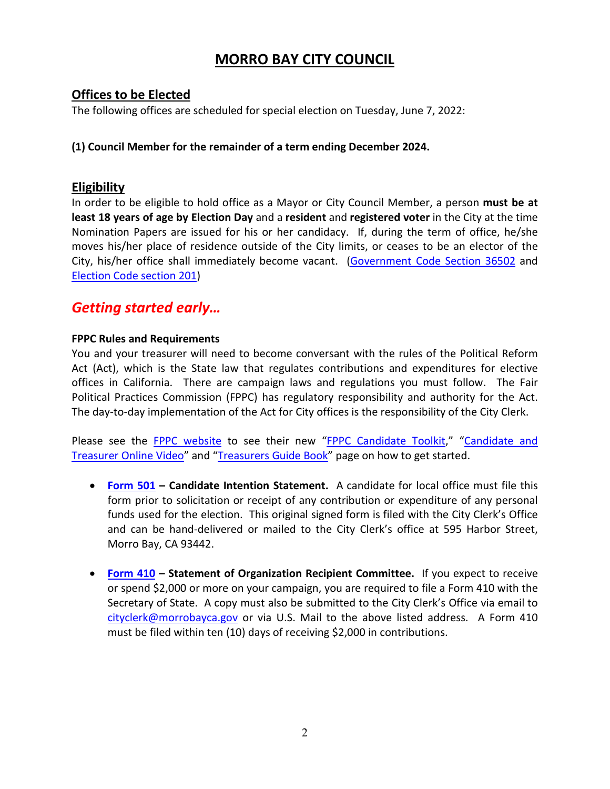# **MORRO BAY CITY COUNCIL**

## **Offices to be Elected**

The following offices are scheduled for special election on Tuesday, June 7, 2022:

### **(1) Council Member for the remainder of a term ending December 2024.**

## **Eligibility**

In order to be eligible to hold office as a Mayor or City Council Member, a person **must be at least 18 years of age by Election Day** and a **resident** and **registered voter** in the City at the time Nomination Papers are issued for his or her candidacy. If, during the term of office, he/she moves his/her place of residence outside of the City limits, or ceases to be an elector of the City, his/her office shall immediately become vacant. [\(Government Code Section 36502](https://leginfo.legislature.ca.gov/faces/codes_displaySection.xhtml?sectionNum=36502.&lawCode=GOV) and [Election Code section 201\)](http://leginfo.legislature.ca.gov/faces/codes_displaySection.xhtml?sectionNum=201.&lawCode=ELEC)

# *Getting started early…*

#### **FPPC Rules and Requirements**

You and your treasurer will need to become conversant with the rules of the Political Reform Act (Act), which is the State law that regulates contributions and expenditures for elective offices in California. There are campaign laws and regulations you must follow. The Fair Political Practices Commission (FPPC) has regulatory responsibility and authority for the Act. The day-to-day implementation of the Act for City offices is the responsibility of the City Clerk.

Please see the [FPPC website](http://www.fppc.ca.gov/) to see their new ["FPPC Candidate Toolkit,](http://www.fppc.ca.gov/learn/campaign-rules/candidate-toolkit-getting-started.html)" "Candidate and [Treasurer Online](http://www.fppc.ca.gov/learn/campaign-rules/candidate-and-treasurer-online-video.html) Video" and ["Treasurers Guide Book"](https://mcusercontent.com/8aeeb53c5ef8cec2ea93d962a/files/93f76bee-eb45-4644-afb6-137883d1cba4/Treasurer_Guidebook_Final.pdf) page on how to get started.

- **[Form 501](http://fppc.ca.gov/content/dam/fppc/NS-Documents/TAD/Campaign%20Forms/501.pdf) – Candidate Intention Statement.** A candidate for local office must file this form prior to solicitation or receipt of any contribution or expenditure of any personal funds used for the election. This original signed form is filed with the City Clerk's Office and can be hand-delivered or mailed to the City Clerk's office at 595 Harbor Street, Morro Bay, CA 93442.
- **[Form 410](http://fppc.ca.gov/content/dam/fppc/NS-Documents/TAD/Campaign%20Forms/410.pdf) – Statement of Organization Recipient Committee.** If you expect to receive or spend \$2,000 or more on your campaign, you are required to file a Form 410 with the Secretary of State. A copy must also be submitted to the City Clerk's Office via email to [cityclerk@morrobayca.gov](mailto:cityclerk@morrobayca.gov) or via U.S. Mail to the above listed address. A Form 410 must be filed within ten (10) days of receiving \$2,000 in contributions.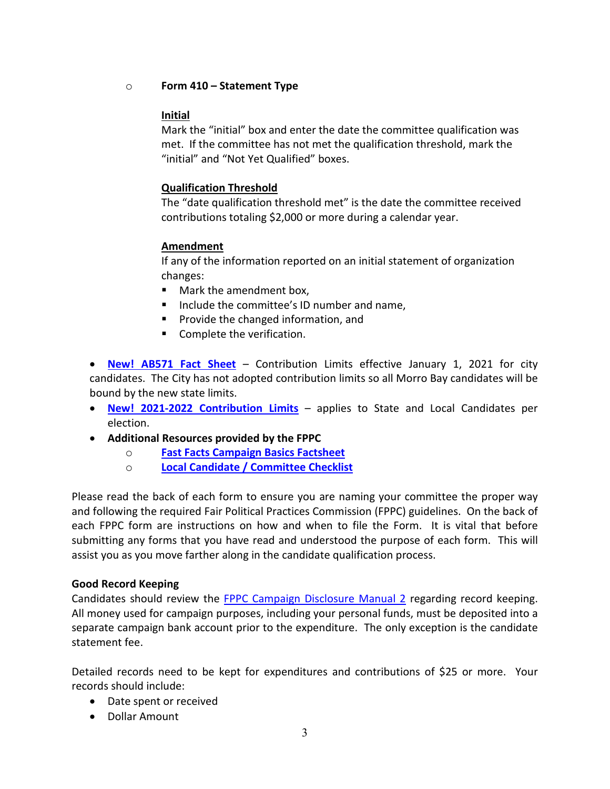o **Form 410 – Statement Type**

### **Initial**

Mark the "initial" box and enter the date the committee qualification was met. If the committee has not met the qualification threshold, mark the "initial" and "Not Yet Qualified" boxes.

## **Qualification Threshold**

The "date qualification threshold met" is the date the committee received contributions totaling \$2,000 or more during a calendar year.

## **Amendment**

If any of the information reported on an initial statement of organization changes:

- **Mark the amendment box,**
- Include the committee's ID number and name,
- **Provide the changed information, and**
- **Complete the verification.**

• **[New! AB571 Fact Sheet](https://www.fppc.ca.gov/content/dam/fppc/NS-Documents/TAD/Campaign%20Documents/AB_571_Fact_Sheet_Final.pdf)** – Contribution Limits effective January 1, 2021 for city candidates. The City has not adopted contribution limits so all Morro Bay candidates will be bound by the new state limits.

- **New! [2021-2022 Contribution Limits](https://www.fppc.ca.gov/content/dam/fppc/NS-Documents/TAD/Campaign%20Documents/AB_571_Fact_Sheet_Final.pdf)** applies to State and Local Candidates per election.
- **Additional Resources provided by the FPPC**
	- o **[Fast Facts Campaign Basics Factsheet](http://www.fppc.ca.gov/content/dam/fppc/NS-Documents/TAD/Candidate%20Toolkit/Campaign-Basics-01-18.pdf)**
	- o **[Local Candidate / Committee Checklist](http://www.fppc.ca.gov/content/dam/fppc/NS-Documents/TAD/Candidate%20Toolkit/Local%20Candidate%20%20Committee%20Checklist.pdf)**

Please read the back of each form to ensure you are naming your committee the proper way and following the required Fair Political Practices Commission (FPPC) guidelines. On the back of each FPPC form are instructions on how and when to file the Form. It is vital that before submitting any forms that you have read and understood the purpose of each form. This will assist you as you move farther along in the candidate qualification process.

#### **Good Record Keeping**

Candidates should review the [FPPC Campaign Disclosure Manual 2](https://www.fppc.ca.gov/content/dam/fppc/NS-Documents/TAD/Campaign%20Manuals/Manual_2/Final_Manual_2_Entire_Manual.pdf) regarding record keeping. All money used for campaign purposes, including your personal funds, must be deposited into a separate campaign bank account prior to the expenditure. The only exception is the candidate statement fee.

Detailed records need to be kept for expenditures and contributions of \$25 or more. Your records should include:

- Date spent or received
- Dollar Amount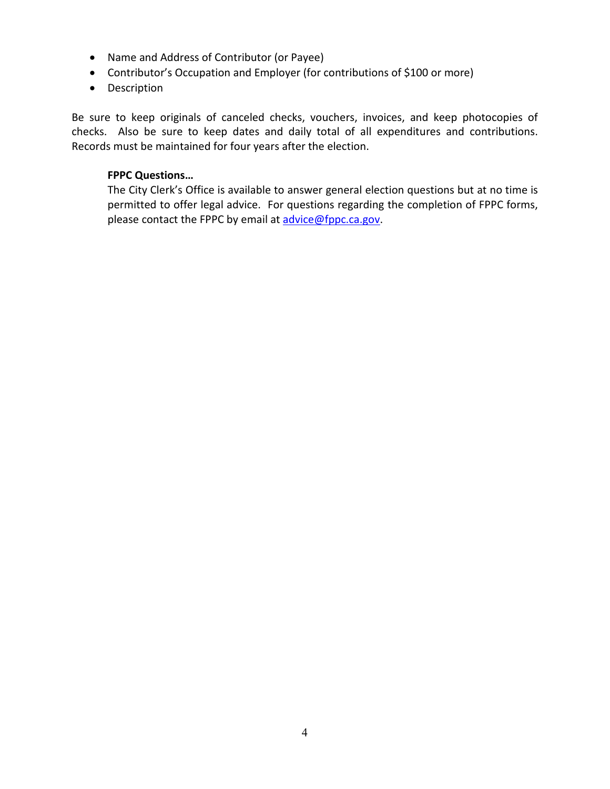- Name and Address of Contributor (or Payee)
- Contributor's Occupation and Employer (for contributions of \$100 or more)
- Description

Be sure to keep originals of canceled checks, vouchers, invoices, and keep photocopies of checks. Also be sure to keep dates and daily total of all expenditures and contributions. Records must be maintained for four years after the election.

#### **FPPC Questions…**

The City Clerk's Office is available to answer general election questions but at no time is permitted to offer legal advice. For questions regarding the completion of FPPC forms, please contact the FPPC by email at [advice@fppc.ca.gov.](mailto:advice@fppc.ca.gov)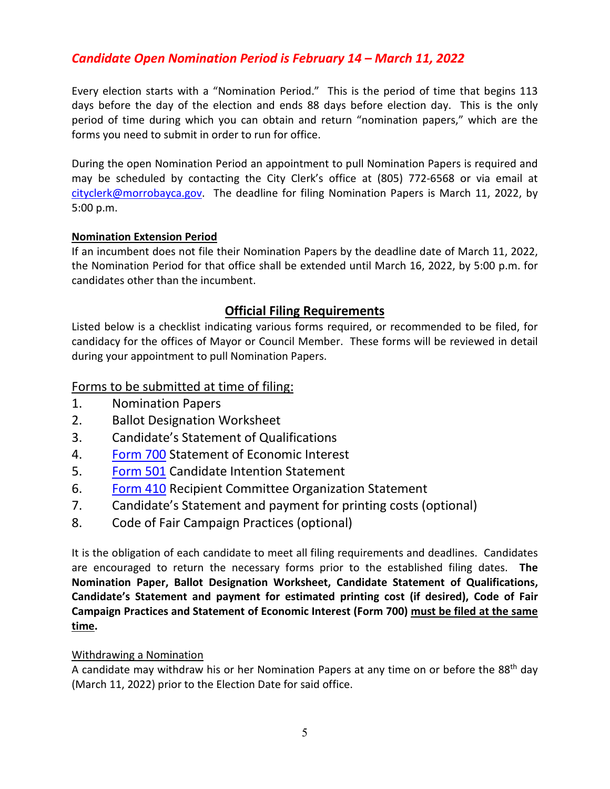# *Candidate Open Nomination Period is February 14 – March 11, 2022*

Every election starts with a "Nomination Period." This is the period of time that begins 113 days before the day of the election and ends 88 days before election day. This is the only period of time during which you can obtain and return "nomination papers," which are the forms you need to submit in order to run for office.

During the open Nomination Period an appointment to pull Nomination Papers is required and may be scheduled by contacting the City Clerk's office at (805) 772-6568 or via email at [cityclerk@morrobayca.gov.](mailto:cityclerk@morrobayca.gov) The deadline for filing Nomination Papers is March 11, 2022, by 5:00 p.m.

#### **Nomination Extension Period**

If an incumbent does not file their Nomination Papers by the deadline date of March 11, 2022, the Nomination Period for that office shall be extended until March 16, 2022, by 5:00 p.m. for candidates other than the incumbent.

## **Official Filing Requirements**

Listed below is a checklist indicating various forms required, or recommended to be filed, for candidacy for the offices of Mayor or Council Member. These forms will be reviewed in detail during your appointment to pull Nomination Papers.

## Forms to be submitted at time of filing:

- 1. Nomination Papers
- 2. Ballot Designation Worksheet
- 3. Candidate's Statement of Qualifications
- 4. [Form 700](http://www.fppc.ca.gov/content/dam/fppc/NS-Documents/TAD/Form%20700/2019-2020/Form%20700%202019.2020%20IA.pdf) Statement of Economic Interest
- 5. [Form 501](http://fppc.ca.gov/content/dam/fppc/NS-Documents/TAD/Campaign%20Forms/501.pdf) Candidate Intention Statement
- 6. [Form](http://fppc.ca.gov/content/dam/fppc/NS-Documents/TAD/Campaign%20Forms/410.pdf) 410 Recipient Committee Organization Statement
- 7. Candidate's Statement and payment for printing costs (optional)
- 8. Code of Fair Campaign Practices (optional)

It is the obligation of each candidate to meet all filing requirements and deadlines. Candidates are encouraged to return the necessary forms prior to the established filing dates. **The Nomination Paper, Ballot Designation Worksheet, Candidate Statement of Qualifications, Candidate's Statement and payment for estimated printing cost (if desired), Code of Fair Campaign Practices and Statement of Economic Interest (Form 700) must be filed at the same time.**

#### Withdrawing a Nomination

A candidate may withdraw his or her Nomination Papers at any time on or before the 88th day (March 11, 2022) prior to the Election Date for said office.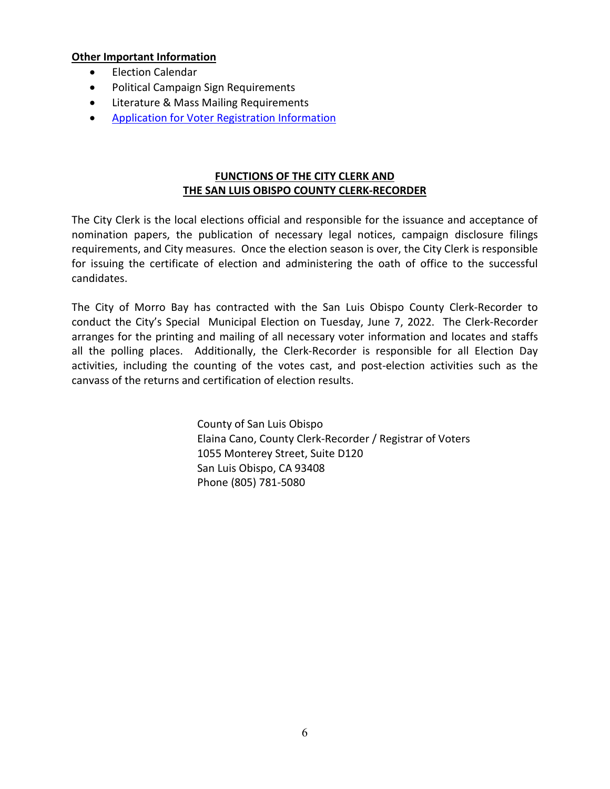#### **Other Important Information**

- Election Calendar
- Political Campaign Sign Requirements
- Literature & Mass Mailing Requirements
- [Application for Voter Registration Information](https://www.slocounty.ca.gov/Departments/Clerk-Recorder/Forms-Documents/Elections-and-Voting/Non-Election-Specific/Forms/Application-For-Confidential-Voter-Registration-In.aspx)

#### **FUNCTIONS OF THE CITY CLERK AND THE SAN LUIS OBISPO COUNTY CLERK-RECORDER**

The City Clerk is the local elections official and responsible for the issuance and acceptance of nomination papers, the publication of necessary legal notices, campaign disclosure filings requirements, and City measures. Once the election season is over, the City Clerk is responsible for issuing the certificate of election and administering the oath of office to the successful candidates.

The City of Morro Bay has contracted with the San Luis Obispo County Clerk-Recorder to conduct the City's Special Municipal Election on Tuesday, June 7, 2022. The Clerk-Recorder arranges for the printing and mailing of all necessary voter information and locates and staffs all the polling places. Additionally, the Clerk-Recorder is responsible for all Election Day activities, including the counting of the votes cast, and post-election activities such as the canvass of the returns and certification of election results.

> County of San Luis Obispo Elaina Cano, County Clerk-Recorder / Registrar of Voters 1055 Monterey Street, Suite D120 San Luis Obispo, CA 93408 Phone (805) 781-5080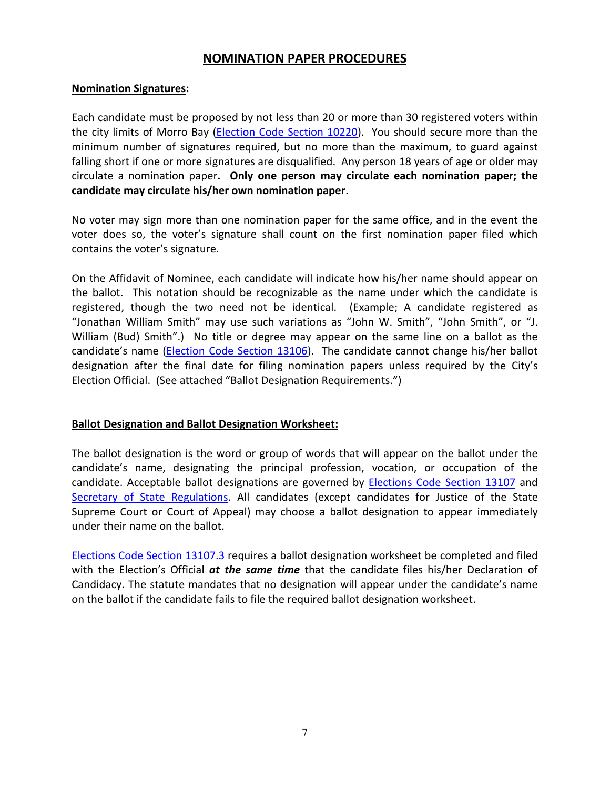## **NOMINATION PAPER PROCEDURES**

#### **Nomination Signatures:**

Each candidate must be proposed by not less than 20 or more than 30 registered voters within the city limits of Morro Bay (*Election Code Section 10220*). You should secure more than the minimum number of signatures required, but no more than the maximum, to guard against falling short if one or more signatures are disqualified. Any person 18 years of age or older may circulate a nomination paper**. Only one person may circulate each nomination paper; the candidate may circulate his/her own nomination paper**.

No voter may sign more than one nomination paper for the same office, and in the event the voter does so, the voter's signature shall count on the first nomination paper filed which contains the voter's signature.

On the Affidavit of Nominee, each candidate will indicate how his/her name should appear on the ballot. This notation should be recognizable as the name under which the candidate is registered, though the two need not be identical. (Example; A candidate registered as "Jonathan William Smith" may use such variations as "John W. Smith", "John Smith", or "J. William (Bud) Smith".) No title or degree may appear on the same line on a ballot as the candidate's name [\(Election Code Section 13106\)](https://leginfo.legislature.ca.gov/faces/codes_displaySection.xhtml?sectionNum=13106.&lawCode=ELEC). The candidate cannot change his/her ballot designation after the final date for filing nomination papers unless required by the City's Election Official. (See attached "Ballot Designation Requirements.")

#### **Ballot Designation and Ballot Designation Worksheet:**

The ballot designation is the word or group of words that will appear on the ballot under the candidate's name, designating the principal profession, vocation, or occupation of the candidate. Acceptable ballot designations are governed by [Elections Code Section 13107](http://leginfo.legislature.ca.gov/faces/codes_displaySection.xhtml?sectionNum=13107.&lawCode=ELEC) and [Secretary of State Regulations.](https://www.sos.ca.gov/administration/regulations/current-regulations1/) All candidates (except candidates for Justice of the State Supreme Court or Court of Appeal) may choose a ballot designation to appear immediately under their name on the ballot.

[Elections Code Section 13107.3](http://leginfo.legislature.ca.gov/faces/codes_displaySection.xhtml?sectionNum=13107.3.&lawCode=ELEC) requires a ballot designation worksheet be completed and filed with the Election's Official *at the same time* that the candidate files his/her Declaration of Candidacy. The statute mandates that no designation will appear under the candidate's name on the ballot if the candidate fails to file the required ballot designation worksheet.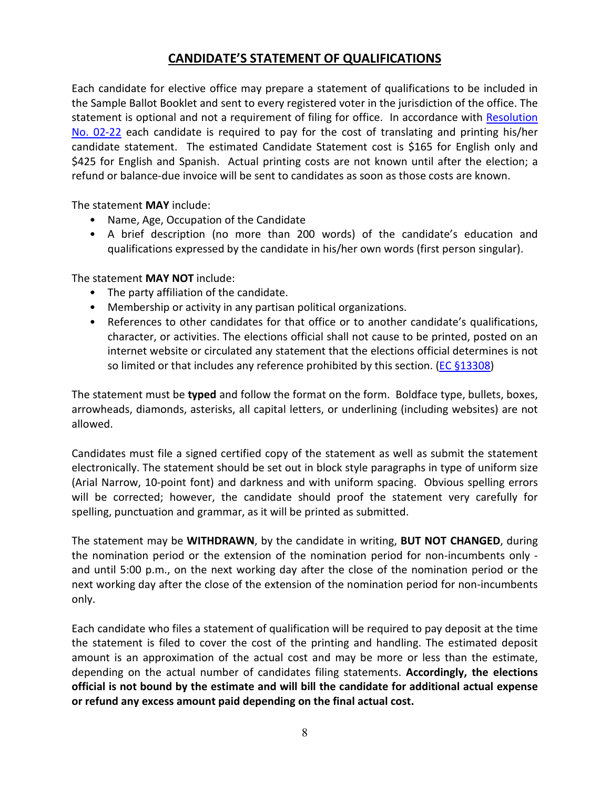## **CANDIDATE'S STATEMENT OF QUALIFICATIONS**

Each candidate for elective office may prepare a statement of qualifications to be included in the Sample Ballot Booklet and sent to every registered voter in the jurisdiction of the office. The statement is optional and not a requirement of filing for office. In accordance with [Resolution](https://www.morro-bay.ca.us/DocumentCenter/View/16285/Resolution-02-22-Adopting-Regulations-for-Candidates-for-Elective-Office)  [No. 02-22](https://www.morro-bay.ca.us/DocumentCenter/View/16285/Resolution-02-22-Adopting-Regulations-for-Candidates-for-Elective-Office) each candidate is required to pay for the cost of translating and printing his/her candidate statement. The estimated Candidate Statement cost is \$165 for English only and \$425 for English and Spanish. Actual printing costs are not known until after the election; a refund or balance-due invoice will be sent to candidates as soon as those costs are known.

The statement **MAY** include:

- Name, Age, Occupation of the Candidate
- A brief description (no more than 200 words) of the candidate's education and qualifications expressed by the candidate in his/her own words (first person singular).

The statement **MAY NOT** include:

- The party affiliation of the candidate.
- Membership or activity in any partisan political organizations.
- References to other candidates for that office or to another candidate's qualifications, character, or activities. The elections official shall not cause to be printed, posted on an internet website or circulated any statement that the elections official determines is not so limited or that includes any reference prohibited by this section. ( $EC \$ §13308)

The statement must be **typed** and follow the format on the form. Boldface type, bullets, boxes, arrowheads, diamonds, asterisks, all capital letters, or underlining (including websites) are not allowed.

Candidates must file a signed certified copy of the statement as well as submit the statement electronically. The statement should be set out in block style paragraphs in type of uniform size (Arial Narrow, 10-point font) and darkness and with uniform spacing. Obvious spelling errors will be corrected; however, the candidate should proof the statement very carefully for spelling, punctuation and grammar, as it will be printed as submitted.

The statement may be **WITHDRAWN**, by the candidate in writing, **BUT NOT CHANGED**, during the nomination period or the extension of the nomination period for non-incumbents only and until 5:00 p.m., on the next working day after the close of the nomination period or the next working day after the close of the extension of the nomination period for non-incumbents only.

Each candidate who files a statement of qualification will be required to pay deposit at the time the statement is filed to cover the cost of the printing and handling. The estimated deposit amount is an approximation of the actual cost and may be more or less than the estimate, depending on the actual number of candidates filing statements. **Accordingly, the elections official is not bound by the estimate and will bill the candidate for additional actual expense or refund any excess amount paid depending on the final actual cost.**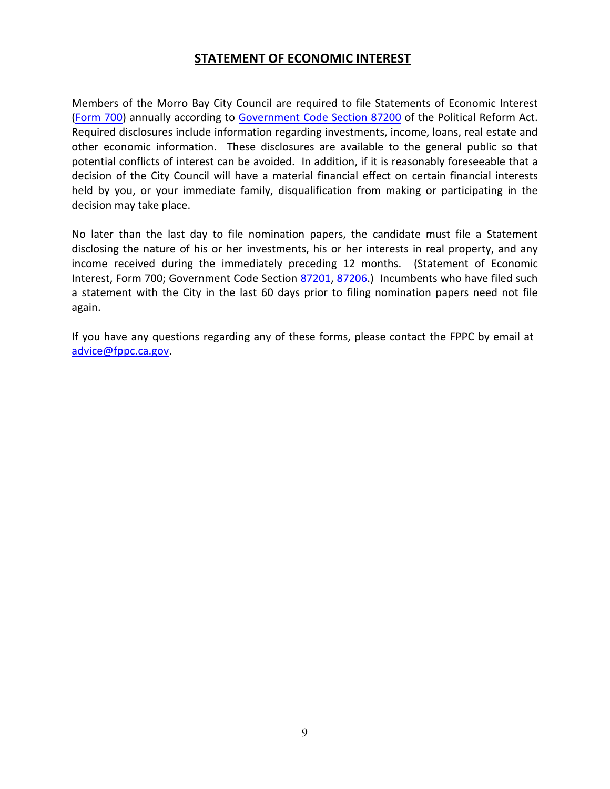## **STATEMENT OF ECONOMIC INTEREST**

Members of the Morro Bay City Council are required to file Statements of Economic Interest [\(Form 700\)](https://www.fppc.ca.gov/content/dam/fppc/NS-Documents/TAD/Form%20700/2021-22/Form_700_2021.pdf) annually according to [Government Code Section 87200](https://leginfo.legislature.ca.gov/faces/codes_displaySection.xhtml?sectionNum=87200.&lawCode=GOV) of the Political Reform Act. Required disclosures include information regarding investments, income, loans, real estate and other economic information. These disclosures are available to the general public so that potential conflicts of interest can be avoided. In addition, if it is reasonably foreseeable that a decision of the City Council will have a material financial effect on certain financial interests held by you, or your immediate family, disqualification from making or participating in the decision may take place.

No later than the last day to file nomination papers, the candidate must file a Statement disclosing the nature of his or her investments, his or her interests in real property, and any income received during the immediately preceding 12 months. (Statement of Economic Interest, Form 700; Government Code Section [87201,](https://leginfo.legislature.ca.gov/faces/codes_displaySection.xhtml?sectionNum=87201.&lawCode=GOV) [87206.](https://leginfo.legislature.ca.gov/faces/codes_displaySection.xhtml?sectionNum=87206.&lawCode=GOV)) Incumbents who have filed such a statement with the City in the last 60 days prior to filing nomination papers need not file again.

If you have any questions regarding any of these forms, please contact the FPPC by email at [advice@fppc.ca.gov.](mailto:advice@fppc.ca.gov)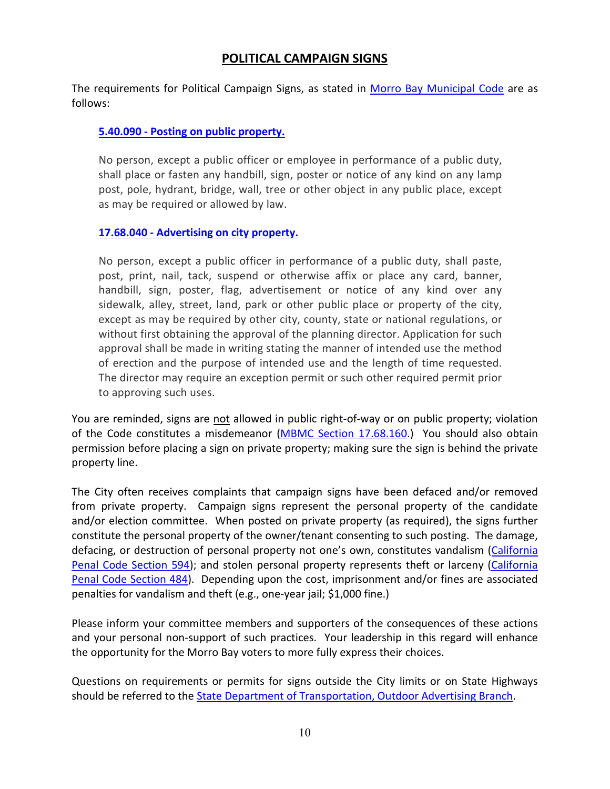## **POLITICAL CAMPAIGN SIGNS**

The requirements for Political Campaign Signs, as stated in [Morro Bay Municipal Code](https://library.municode.com/ca/morro_bay/codes/code_of_ordinances?nodeId=TIT17ZO_CH17.68SI_17.68.040ADPR) are as follows:

#### **5.40.090 - [Posting on public property.](https://library.municode.com/ca/morro_bay/codes/code_of_ordinances?nodeId=TIT5BUTACERE_CH5.40SOBUDIADMA_5.40.090POPUPR)**

No person, except a public officer or employee in performance of a public duty, shall place or fasten any handbill, sign, poster or notice of any kind on any lamp post, pole, hydrant, bridge, wall, tree or other object in any public place, except as may be required or allowed by law.

#### **17.68.040 - [Advertising on city property.](https://library.municode.com/ca/morro_bay/codes/code_of_ordinances?nodeId=TIT17ZO_CH17.68SI_17.68.040ADPR)**

No person, except a public officer in performance of a public duty, shall paste, post, print, nail, tack, suspend or otherwise affix or place any card, banner, handbill, sign, poster, flag, advertisement or notice of any kind over any sidewalk, alley, street, land, park or other public place or property of the city, except as may be required by other city, county, state or national regulations, or without first obtaining the approval of the planning director. Application for such approval shall be made in writing stating the manner of intended use the method of erection and the purpose of intended use and the length of time requested. The director may require an exception permit or such other required permit prior to approving such uses.

You are reminded, signs are not allowed in public right-of-way or on public property; violation of the Code constitutes a misdemeanor [\(MBMC Section 17.68.160.](https://library.municode.com/ca/morro_bay/codes/code_of_ordinances?nodeId=TIT17ZO_CH17.68SI_17.68.160PEVI)) You should also obtain permission before placing a sign on private property; making sure the sign is behind the private property line.

The City often receives complaints that campaign signs have been defaced and/or removed from private property. Campaign signs represent the personal property of the candidate and/or election committee. When posted on private property (as required), the signs further constitute the personal property of the owner/tenant consenting to such posting. The damage, defacing, or destruction of personal property not one's own, constitutes vandalism [\(California](https://leginfo.legislature.ca.gov/faces/codes_displaySection.xhtml?sectionNum=594.&lawCode=PEN) [Penal Code Section 594\)](https://leginfo.legislature.ca.gov/faces/codes_displaySection.xhtml?sectionNum=594.&lawCode=PEN); and stolen personal property represents theft or larceny [\(California](https://leginfo.legislature.ca.gov/faces/codes_displaySection.xhtml?sectionNum=484.&lawCode=PEN)  [Penal Code Section 484\)](https://leginfo.legislature.ca.gov/faces/codes_displaySection.xhtml?sectionNum=484.&lawCode=PEN). Depending upon the cost, imprisonment and/or fines are associated penalties for vandalism and theft (e.g., one-year jail; \$1,000 fine.)

Please inform your committee members and supporters of the consequences of these actions and your personal non-support of such practices. Your leadership in this regard will enhance the opportunity for the Morro Bay voters to more fully express their choices.

Questions on requirements or permits for signs outside the City limits or on State Highways should be referred to the [State Department of Transportation, Outdoor Advertising Branch.](https://dot.ca.gov/programs/traffic-operations/oda)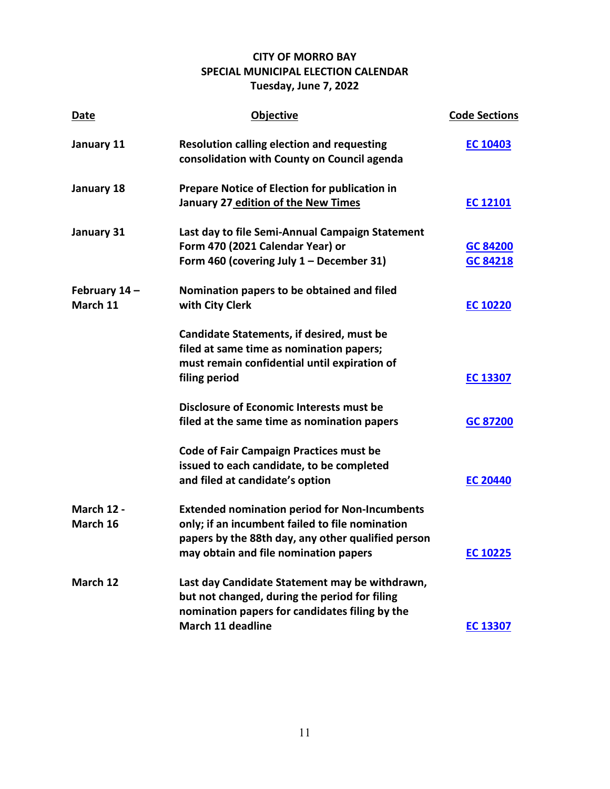## **CITY OF MORRO BAY SPECIAL MUNICIPAL ELECTION CALENDAR Tuesday, June 7, 2022**

| Date                          | <b>Objective</b>                                                                                                                                              | <b>Code Sections</b> |
|-------------------------------|---------------------------------------------------------------------------------------------------------------------------------------------------------------|----------------------|
| January 11                    | <b>Resolution calling election and requesting</b><br>consolidation with County on Council agenda                                                              | <b>EC 10403</b>      |
| January 18                    | <b>Prepare Notice of Election for publication in</b>                                                                                                          |                      |
|                               | January 27 edition of the New Times                                                                                                                           | <b>EC 12101</b>      |
| January 31                    | Last day to file Semi-Annual Campaign Statement                                                                                                               |                      |
|                               | Form 470 (2021 Calendar Year) or<br>Form 460 (covering July $1 -$ December 31)                                                                                | GC 84200<br>GC 84218 |
| February 14-<br>March 11      | Nomination papers to be obtained and filed<br>with City Clerk                                                                                                 | <b>EC 10220</b>      |
|                               | Candidate Statements, if desired, must be<br>filed at same time as nomination papers;                                                                         |                      |
|                               | must remain confidential until expiration of<br>filing period                                                                                                 | <b>EC 13307</b>      |
|                               | <b>Disclosure of Economic Interests must be</b>                                                                                                               |                      |
|                               | filed at the same time as nomination papers                                                                                                                   | GC 87200             |
|                               | <b>Code of Fair Campaign Practices must be</b><br>issued to each candidate, to be completed                                                                   |                      |
|                               | and filed at candidate's option                                                                                                                               | <b>EC 20440</b>      |
| <b>March 12 -</b><br>March 16 | <b>Extended nomination period for Non-Incumbents</b><br>only; if an incumbent failed to file nomination<br>papers by the 88th day, any other qualified person |                      |
|                               | may obtain and file nomination papers                                                                                                                         | <b>EC 10225</b>      |
| March 12                      | Last day Candidate Statement may be withdrawn,<br>but not changed, during the period for filing<br>nomination papers for candidates filing by the             |                      |
|                               | March 11 deadline                                                                                                                                             | <b>EC 13307</b>      |